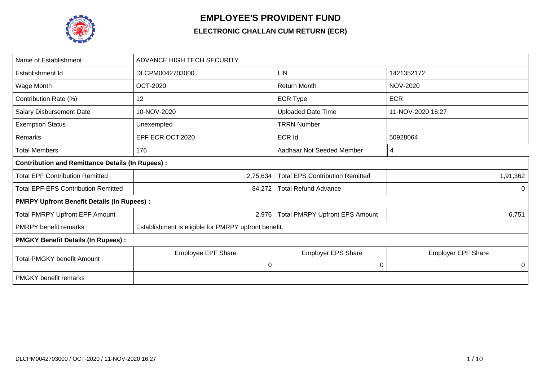

## **EMPLOYEE'S PROVIDENT FUND**

## **ELECTRONIC CHALLAN CUM RETURN (ECR)**

| Name of Establishment                                   | <b>ADVANCE HIGH TECH SECURITY</b>                    |                                        |                           |  |  |  |  |  |
|---------------------------------------------------------|------------------------------------------------------|----------------------------------------|---------------------------|--|--|--|--|--|
| Establishment Id                                        | DLCPM0042703000                                      | <b>LIN</b>                             | 1421352172                |  |  |  |  |  |
| Wage Month                                              | <b>OCT-2020</b>                                      | <b>Return Month</b>                    | <b>NOV-2020</b>           |  |  |  |  |  |
| Contribution Rate (%)                                   | 12                                                   | <b>ECR Type</b>                        | <b>ECR</b>                |  |  |  |  |  |
| <b>Salary Disbursement Date</b>                         | 10-NOV-2020                                          | <b>Uploaded Date Time</b>              | 11-NOV-2020 16:27         |  |  |  |  |  |
| <b>Exemption Status</b>                                 | Unexempted                                           | <b>TRRN Number</b>                     |                           |  |  |  |  |  |
| Remarks                                                 | EPF ECR OCT'2020                                     | <b>ECR Id</b>                          | 50928064                  |  |  |  |  |  |
| <b>Total Members</b>                                    | 176                                                  | Aadhaar Not Seeded Member              | 4                         |  |  |  |  |  |
| <b>Contribution and Remittance Details (In Rupees):</b> |                                                      |                                        |                           |  |  |  |  |  |
| <b>Total EPF Contribution Remitted</b>                  | 2,75,634                                             | <b>Total EPS Contribution Remitted</b> | 1,91,362                  |  |  |  |  |  |
| <b>Total EPF-EPS Contribution Remitted</b>              | 84,272                                               | <b>Total Refund Advance</b>            | $\mathbf 0$               |  |  |  |  |  |
| <b>PMRPY Upfront Benefit Details (In Rupees):</b>       |                                                      |                                        |                           |  |  |  |  |  |
| <b>Total PMRPY Upfront EPF Amount</b>                   | 2,976                                                | <b>Total PMRPY Upfront EPS Amount</b>  | 6,751                     |  |  |  |  |  |
| <b>PMRPY</b> benefit remarks                            | Establishment is eligible for PMRPY upfront benefit. |                                        |                           |  |  |  |  |  |
| <b>PMGKY Benefit Details (In Rupees):</b>               |                                                      |                                        |                           |  |  |  |  |  |
| <b>Total PMGKY benefit Amount</b>                       | <b>Employee EPF Share</b>                            | <b>Employer EPS Share</b>              | <b>Employer EPF Share</b> |  |  |  |  |  |
|                                                         | 0                                                    | 0                                      | 0                         |  |  |  |  |  |
| <b>PMGKY</b> benefit remarks                            |                                                      |                                        |                           |  |  |  |  |  |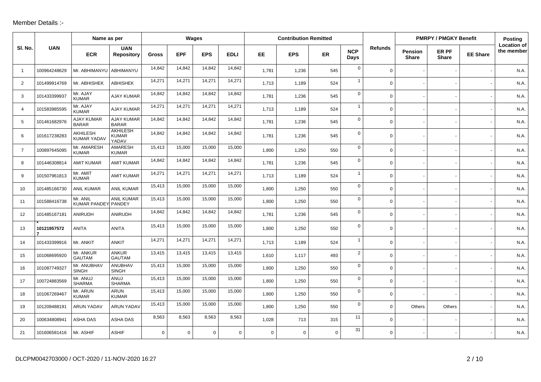## Member Details :-

|                |              | Name as per                       |                                          |              |             | Wages      |             |             | <b>Contribution Remitted</b> |           |                    |                |                         | <b>PMRPY / PMGKY Benefit</b> |                 | <b>Posting</b>                   |
|----------------|--------------|-----------------------------------|------------------------------------------|--------------|-------------|------------|-------------|-------------|------------------------------|-----------|--------------------|----------------|-------------------------|------------------------------|-----------------|----------------------------------|
| SI. No.        | <b>UAN</b>   | <b>ECR</b>                        | <b>UAN</b><br>Repository                 | <b>Gross</b> | <b>EPF</b>  | <b>EPS</b> | <b>EDLI</b> | EE          | <b>EPS</b>                   | <b>ER</b> | <b>NCP</b><br>Days | <b>Refunds</b> | Pension<br><b>Share</b> | ER PF<br><b>Share</b>        | <b>EE Share</b> | <b>Location of</b><br>the member |
| $\overline{1}$ | 100964248629 | Mr. ABHIMANYU                     | ABHIMANYU                                | 14,842       | 14,842      | 14,842     | 14,842      | 1,781       | 1,236                        | 545       | $\mathbf 0$        | $\mathbf 0$    |                         |                              |                 | N.A                              |
| 2              | 101499914769 | Mr. ABHISHEK                      | <b>ABHISHEK</b>                          | 14,271       | 14,271      | 14,271     | 14,271      | 1,713       | 1,189                        | 524       | $\mathbf{1}$       | $\Omega$       |                         |                              |                 | N.A.                             |
| 3              | 101433399937 | Mr. AJAY<br><b>KUMAR</b>          | <b>AJAY KUMAR</b>                        | 14,842       | 14,842      | 14,842     | 14,842      | 1,781       | 1,236                        | 545       | $\mathbf 0$        | $\Omega$       |                         |                              |                 | N.A.                             |
| 4              | 101583985595 | Mr. AJAY<br><b>KUMAR</b>          | AJAY KUMAR                               | 14,271       | 14,271      | 14,271     | 14,271      | 1,713       | 1,189                        | 524       | $\mathbf{1}$       | $\Omega$       |                         |                              |                 | N.A.                             |
| 5              | 101461682976 | <b>AJAY KUMAR</b><br><b>BARAR</b> | <b>AJAY KUMAR</b><br><b>BARAR</b>        | 14,842       | 14,842      | 14,842     | 14,842      | 1,781       | 1,236                        | 545       | $\mathbf 0$        | 0              |                         |                              |                 | N.A.                             |
| 6              | 101617238283 | AKHILESH<br><b>KUMAR YADAV</b>    | <b>AKHILESH</b><br><b>KUMAR</b><br>YADAV | 14,842       | 14,842      | 14,842     | 14,842      | 1,781       | 1,236                        | 545       | $\mathbf 0$        | $\Omega$       |                         |                              |                 | N.A.                             |
| $\overline{7}$ | 100897645095 | Mr. AMARESH<br><b>KUMAR</b>       | AMARESH<br><b>KUMAR</b>                  | 15,413       | 15,000      | 15,000     | 15,000      | 1,800       | 1,250                        | 550       | $\mathbf 0$        | 0              |                         |                              |                 | N.A.                             |
| 8              | 101446308814 | <b>AMIT KUMAR</b>                 | <b>AMIT KUMAR</b>                        | 14,842       | 14,842      | 14,842     | 14,842      | 1,781       | 1,236                        | 545       | $\mathbf 0$        | $\overline{0}$ |                         |                              |                 | N.A                              |
| 9              | 101507961813 | Mr. AMIT<br><b>KUMAR</b>          | <b>AMIT KUMAR</b>                        | 14,271       | 14,271      | 14,271     | 14,271      | 1,713       | 1,189                        | 524       | $\mathbf{1}$       | $\mathbf 0$    |                         |                              |                 | N.A.                             |
| 10             | 101485166730 | <b>ANIL KUMAR</b>                 | <b>ANIL KUMAR</b>                        | 15,413       | 15,000      | 15,000     | 15,000      | 1,800       | 1,250                        | 550       | $\mathbf 0$        | 0              |                         |                              |                 | N.A.                             |
| 11             | 101588416738 | Mr. ANIL<br><b>KUMAR PANDEY</b>   | ANIL KUMAR<br>PANDEY                     | 15,413       | 15,000      | 15,000     | 15,000      | 1,800       | 1,250                        | 550       | $\mathbf 0$        | $\overline{0}$ |                         |                              |                 | N.A.                             |
| 12             | 101485167181 | <b>ANIRUDH</b>                    | <b>ANIRUDH</b>                           | 14,842       | 14,842      | 14,842     | 14,842      | 1,781       | 1,236                        | 545       | $\mathbf 0$        | $\Omega$       |                         |                              |                 | N.A                              |
| 13             | 10121957572  | <b>ANITA</b>                      | <b>ANITA</b>                             | 15,413       | 15,000      | 15,000     | 15,000      | 1,800       | 1,250                        | 550       | $\mathbf 0$        | 0              |                         |                              |                 | N.A.                             |
| 14             | 101433399916 | Mr. ANKIT                         | <b>ANKIT</b>                             | 14,271       | 14,271      | 14,271     | 14,271      | 1,713       | 1,189                        | 524       | $\mathbf{1}$       | 0              |                         |                              |                 | N.A.                             |
| 15             | 101068695920 | Mr. ANKUR<br><b>GAUTAM</b>        | <b>ANKUR</b><br><b>GAUTAM</b>            | 13,415       | 13,415      | 13,415     | 13,415      | 1,610       | 1,117                        | 493       | $\overline{2}$     | 0              |                         |                              |                 | N.A.                             |
| 16             | 101087749327 | Mr. ANUBHAV<br><b>SINGH</b>       | <b>ANUBHAV</b><br><b>SINGH</b>           | 15,413       | 15,000      | 15,000     | 15,000      | 1,800       | 1,250                        | 550       | $\mathbf 0$        | $\Omega$       |                         |                              |                 | N.A.                             |
| 17             | 100724883569 | Mr. ANUJ<br><b>SHARMA</b>         | ANUJ<br><b>SHARMA</b>                    | 15,413       | 15,000      | 15,000     | 15,000      | 1,800       | 1,250                        | 550       | $\mathbf 0$        | $\Omega$       |                         |                              |                 | N.A.                             |
| 18             | 101067269467 | Mr. ARUN<br><b>KUMAR</b>          | <b>ARUN</b><br><b>KUMAR</b>              | 15,413       | 15,000      | 15,000     | 15,000      | 1,800       | 1,250                        | 550       | $\mathbf 0$        | $\Omega$       |                         |                              |                 | N.A.                             |
| 19             | 101209488191 | <b>ARUN YADAV</b>                 | <b>ARUN YADAV</b>                        | 15,413       | 15,000      | 15,000     | 15,000      | 1,800       | 1,250                        | 550       | $\mathbf 0$        | $\mathbf 0$    | Others                  | Others                       |                 | N.A.                             |
| 20             | 100634808941 | ASHA DAS                          | ASHA DAS                                 | 8,563        | 8,563       | 8,563      | 8,563       | 1,028       | 713                          | 315       | 11                 | $\Omega$       |                         |                              |                 | N.A.                             |
| 21             | 101606581416 | Mr. ASHIF                         | <b>ASHIF</b>                             | $\Omega$     | $\mathbf 0$ | $\Omega$   | $\Omega$    | $\mathbf 0$ | $\Omega$                     | $\Omega$  | 31                 | $\Omega$       |                         |                              |                 | N.A.                             |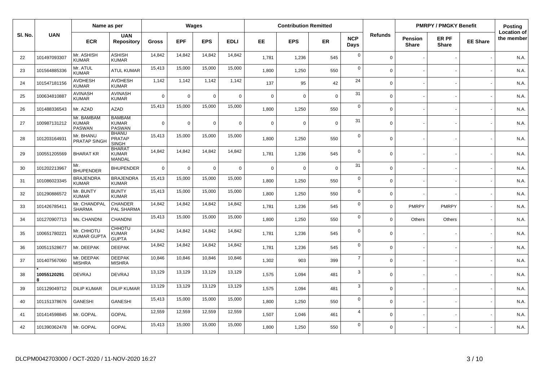|        |                  | Name as per                                 |                                                |              |            | Wages          |             |             | <b>Contribution Remitted</b> |             |                    |                |                         | <b>PMRPY / PMGKY Benefit</b> |                 | Posting                          |
|--------|------------------|---------------------------------------------|------------------------------------------------|--------------|------------|----------------|-------------|-------------|------------------------------|-------------|--------------------|----------------|-------------------------|------------------------------|-----------------|----------------------------------|
| SI. No | <b>UAN</b>       | <b>ECR</b>                                  | <b>UAN</b><br><b>Repository</b>                | <b>Gross</b> | <b>EPF</b> | <b>EPS</b>     | <b>EDLI</b> | EE.         | <b>EPS</b>                   | <b>ER</b>   | <b>NCP</b><br>Days | <b>Refunds</b> | Pension<br><b>Share</b> | ER PF<br><b>Share</b>        | <b>EE Share</b> | <b>Location of</b><br>the member |
| 22     | 101497093307     | Mr. ASHISH<br><b>KUMAR</b>                  | ASHISH<br><b>KUMAR</b>                         | 14,842       | 14,842     | 14,842         | 14,842      | 1,781       | 1,236                        | 545         | $\mathbf 0$        | $\mathbf 0$    |                         |                              |                 | N.A.                             |
| 23     | 101564885336     | Mr. ATUL<br><b>KUMAR</b>                    | <b>ATUL KUMAR</b>                              | 15,413       | 15,000     | 15,000         | 15,000      | 1,800       | 1,250                        | 550         | $\mathbf 0$        | $\Omega$       |                         |                              |                 | N.A.                             |
| 24     | 101547181156     | <b>AVDHESH</b><br><b>KUMAR</b>              | <b>AVDHESH</b><br><b>KUMAR</b>                 | 1,142        | 1,142      | 1,142          | 1,142       | 137         | 95                           | 42          | 24                 | $\Omega$       |                         |                              |                 | N.A.                             |
| 25     | 100634810887     | <b>AVINASH</b><br><b>KUMAR</b>              | <b>AVINASH</b><br><b>KUMAR</b>                 | $\Omega$     | 0          | $\overline{0}$ | $\mathsf 0$ | $\mathbf 0$ | $\mathbf 0$                  | $\mathbf 0$ | 31                 | $\Omega$       |                         |                              |                 | N.A.                             |
| 26     | 101488336543     | Mr. AZAD                                    | <b>AZAD</b>                                    | 15,413       | 15,000     | 15,000         | 15,000      | 1,800       | 1,250                        | 550         | $\mathbf 0$        | $\Omega$       |                         |                              |                 | N.A.                             |
| 27     | 100987131212     | Mr. BAMBAM<br><b>KUMAR</b><br><b>PASWAN</b> | <b>BAMBAM</b><br><b>KUMAR</b><br><b>PASWAN</b> | $\Omega$     | $\Omega$   | $\Omega$       | $\mathbf 0$ | $\Omega$    | $\Omega$                     | $\mathbf 0$ | 31                 | $\Omega$       |                         |                              |                 | N.A.                             |
| 28     | 101203164931     | Mr. BHANU<br>PRATAP SINGH                   | <b>BHANU</b><br><b>PRATAP</b><br><b>SINGH</b>  | 15,413       | 15,000     | 15,000         | 15,000      | 1,800       | 1,250                        | 550         | $\mathbf 0$        | $\Omega$       |                         |                              |                 | N.A.                             |
| 29     | 100551205569     | <b>BHARAT KR</b>                            | <b>BHARAT</b><br><b>KUMAR</b><br><b>MANDAL</b> | 14,842       | 14,842     | 14,842         | 14,842      | 1,781       | 1,236                        | 545         | $\mathbf 0$        | $\Omega$       |                         |                              |                 | N.A.                             |
| 30     | 101202213967     | Mr.<br><b>BHUPENDER</b>                     | <b>BHUPENDER</b>                               | $\mathbf 0$  | 0          | $\overline{0}$ | $\mathsf 0$ | $\mathbf 0$ | $\mathbf 0$                  | $\mathbf 0$ | 31                 | $\Omega$       |                         |                              |                 | N.A.                             |
| 31     | 101086023345     | <b>BRAJENDRA</b><br><b>KUMAR</b>            | <b>BRAJENDRA</b><br><b>KUMAR</b>               | 15,413       | 15,000     | 15,000         | 15,000      | 1.800       | 1,250                        | 550         | $\mathbf 0$        | $\Omega$       |                         |                              |                 | N.A.                             |
| 32     | 101290886572     | Mr. BUNTY<br><b>KUMAR</b>                   | <b>BUNTY</b><br><b>KUMAR</b>                   | 15,413       | 15,000     | 15,000         | 15,000      | 1.800       | 1,250                        | 550         | $\mathbf 0$        | $\Omega$       |                         |                              |                 | N.A.                             |
| 33     | 101426785411     | Mr. CHANDPAL<br><b>SHARMA</b>               | <b>CHANDER</b><br>PAL SHARMA                   | 14,842       | 14,842     | 14,842         | 14,842      | 1,781       | 1,236                        | 545         | $\mathbf 0$        | $\mathbf 0$    | <b>PMRPY</b>            | <b>PMRPY</b>                 |                 | N.A.                             |
| 34     | 101270907713     | Ms. CHANDNI                                 | <b>CHANDNI</b>                                 | 15,413       | 15,000     | 15,000         | 15,000      | 1.800       | 1,250                        | 550         | $\mathbf 0$        | $\Omega$       | <b>Others</b>           | Others                       |                 | N.A.                             |
| 35     | 100651780221     | Mr. CHHOTU<br><b>KUMAR GUPTA</b>            | <b>CHHOTU</b><br><b>KUMAR</b><br><b>GUPTA</b>  | 14,842       | 14,842     | 14,842         | 14,842      | 1,781       | 1,236                        | 545         | $\mathbf 0$        | $\Omega$       |                         |                              |                 | N.A.                             |
| 36     | 100511528677     | Mr. DEEPAK                                  | <b>DEEPAK</b>                                  | 14,842       | 14,842     | 14,842         | 14,842      | 1,781       | 1,236                        | 545         | $\mathbf 0$        | $\mathbf 0$    |                         |                              |                 | N.A.                             |
| 37     | 101407567060     | Mr. DEEPAK<br><b>MISHRA</b>                 | <b>DEEPAK</b><br><b>MISHRA</b>                 | 10,846       | 10,846     | 10,846         | 10,846      | 1,302       | 903                          | 399         | $\overline{7}$     | $\Omega$       |                         |                              |                 | N.A.                             |
| 38     | 10055120291<br>R | <b>DEVRAJ</b>                               | <b>DEVRAJ</b>                                  | 13,129       | 13,129     | 13,129         | 13,129      | 1,575       | 1,094                        | 481         | 3                  | $\Omega$       |                         |                              |                 | N.A.                             |
| 39     | 101129049712     | <b>DILIP KUMAR</b>                          | <b>DILIP KUMAR</b>                             | 13,129       | 13,129     | 13,129         | 13,129      | 1,575       | 1,094                        | 481         | $\mathbf{3}$       | $\mathbf 0$    |                         |                              |                 | N.A.                             |
| 40     | 101151378676     | <b>GANESHI</b>                              | <b>GANESHI</b>                                 | 15,413       | 15,000     | 15,000         | 15,000      | 1,800       | 1,250                        | 550         | $\mathbf 0$        | $\Omega$       |                         |                              |                 | N.A.                             |
| 41     | 101414598845     | Mr. GOPAL                                   | <b>GOPAL</b>                                   | 12,559       | 12,559     | 12,559         | 12,559      | 1,507       | 1,046                        | 461         | $\overline{4}$     | $\Omega$       |                         |                              |                 | N.A.                             |
| 42     | 101390362478     | Mr. GOPAL                                   | <b>GOPAL</b>                                   | 15,413       | 15,000     | 15,000         | 15,000      | 1,800       | 1,250                        | 550         | $\mathbf 0$        | $\Omega$       |                         |                              |                 | N.A.                             |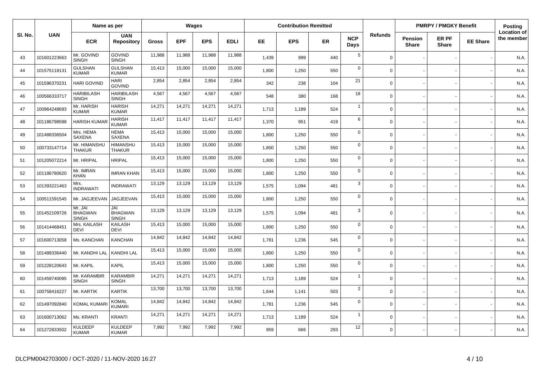|         |              | Name as per                               |                                       |              |            | Wages      |             |       | <b>Contribution Remitted</b> |           |                    |                |                                | <b>PMRPY / PMGKY Benefit</b> |                 | <b>Posting</b>                   |
|---------|--------------|-------------------------------------------|---------------------------------------|--------------|------------|------------|-------------|-------|------------------------------|-----------|--------------------|----------------|--------------------------------|------------------------------|-----------------|----------------------------------|
| SI. No. | <b>UAN</b>   | <b>ECR</b>                                | <b>UAN</b><br><b>Repository</b>       | <b>Gross</b> | <b>EPF</b> | <b>EPS</b> | <b>EDLI</b> | EE.   | <b>EPS</b>                   | <b>ER</b> | <b>NCP</b><br>Days | <b>Refunds</b> | <b>Pension</b><br><b>Share</b> | ER PF<br><b>Share</b>        | <b>EE Share</b> | <b>Location of</b><br>the member |
| 43      | 101601223663 | Mr. GOVIND<br><b>SINGH</b>                | <b>GOVIND</b><br><b>SINGH</b>         | 11,988       | 11,988     | 11,988     | 11,988      | 1,439 | 999                          | 440       | 5                  | $\mathbf 0$    |                                |                              |                 | N.A.                             |
| 44      | 101575118131 | <b>GULSHAN</b><br><b>KUMAR</b>            | <b>GULSHAN</b><br><b>KUMAR</b>        | 15,413       | 15,000     | 15,000     | 15,000      | 1,800 | 1,250                        | 550       | $\mathbf 0$        | $\Omega$       |                                |                              |                 | N.A                              |
| 45      | 101596370231 | <b>HARI GOVIND</b>                        | <b>HARI</b><br><b>GOVIND</b>          | 2,854        | 2,854      | 2,854      | 2,854       | 342   | 238                          | 104       | 21                 | $\Omega$       |                                |                              |                 | N.A.                             |
| 46      | 100566333717 | <b>HARIBILASH</b><br><b>SINGH</b>         | <b>HARIBILASH</b><br><b>SINGH</b>     | 4,567        | 4,567      | 4,567      | 4,567       | 548   | 380                          | 168       | 18                 | $\Omega$       |                                |                              |                 | N.A.                             |
| 47      | 100964248693 | Mr. HARISH<br><b>KUMAR</b>                | <b>HARISH</b><br><b>KUMAR</b>         | 14,271       | 14,271     | 14,271     | 14,271      | 1,713 | 1,189                        | 524       | $\overline{1}$     | $\mathbf 0$    |                                |                              |                 | N.A.                             |
| 48      | 101186798598 | <b>HARISH KUMAI</b>                       | <b>HARISH</b><br><b>KUMAR</b>         | 11,417       | 11,417     | 11,417     | 11,417      | 1,370 | 951                          | 419       | 6                  | $\Omega$       |                                |                              |                 | N.A.                             |
| 49      | 101488336504 | Mrs. HEMA<br><b>SAXENA</b>                | <b>HEMA</b><br>SAXENA                 | 15,413       | 15,000     | 15,000     | 15,000      | 1,800 | 1,250                        | 550       | $\mathsf 0$        | $\mathbf 0$    |                                |                              |                 | N.A.                             |
| 50      | 100733147714 | Mr. HIMANSHU<br>THAKUR                    | <b>HIMANSHU</b><br><b>THAKUR</b>      | 15,413       | 15,000     | 15,000     | 15,000      | 1,800 | 1,250                        | 550       | $\mathbf 0$        | $\mathbf 0$    |                                |                              |                 | N.A.                             |
| 51      | 101205072214 | Mr. HRIPAL                                | <b>HRIPAL</b>                         | 15,413       | 15,000     | 15,000     | 15,000      | 1,800 | 1,250                        | 550       | $\mathbf 0$        | $\mathbf 0$    |                                |                              |                 | N.A.                             |
| 52      | 101186780620 | Mr. IMRAN<br><b>KHAN</b>                  | <b>IMRAN KHAN</b>                     | 15,413       | 15,000     | 15,000     | 15,000      | 1,800 | 1,250                        | 550       | $\mathbf 0$        | $\Omega$       |                                |                              |                 | N.A.                             |
| 53      | 101393221463 | Mrs.<br><b>INDRAWATI</b>                  | <b>INDRAWATI</b>                      | 13,129       | 13,129     | 13,129     | 13,129      | 1,575 | 1,094                        | 481       | 3                  | $\mathbf 0$    |                                |                              |                 | N.A.                             |
| 54      | 100511591545 | Mr. JAGJEEVAN                             | JAGJEEVAN                             | 15,413       | 15,000     | 15,000     | 15,000      | 1,800 | 1,250                        | 550       | $\mathbf 0$        | $\mathbf 0$    |                                |                              |                 | N.A.                             |
| 55      | 101452109726 | Mr. JAI<br><b>BHAGWAN</b><br><b>SINGH</b> | JAI<br><b>BHAGWAN</b><br><b>SINGH</b> | 13,129       | 13,129     | 13,129     | 13,129      | 1,575 | 1,094                        | 481       | 3                  | $\Omega$       |                                |                              |                 | N.A.                             |
| 56      | 101414468451 | Mrs. KAILASH<br><b>DEVI</b>               | <b>KAILASH</b><br><b>DEVI</b>         | 15,413       | 15,000     | 15,000     | 15,000      | 1,800 | 1,250                        | 550       | $\mathbf 0$        | $\mathbf 0$    |                                |                              |                 | N.A.                             |
| 57      | 101600713058 | Ms. KANCHAN                               | <b>KANCHAN</b>                        | 14,842       | 14,842     | 14,842     | 14,842      | 1,781 | 1,236                        | 545       | $\mathbf 0$        | $\mathbf 0$    |                                |                              |                 | N.A.                             |
| 58      | 101488336440 | Mr. KANDHI LAL                            | <b>KANDHI LAL</b>                     | 15,413       | 15,000     | 15,000     | 15,000      | 1,800 | 1,250                        | 550       | $\mathbf 0$        | $\Omega$       |                                |                              |                 | N.A.                             |
| 59      | 101228120643 | Mr. KAPIL                                 | <b>KAPIL</b>                          | 15,413       | 15,000     | 15,000     | 15,000      | 1,800 | 1,250                        | 550       | $\mathbf 0$        | $\Omega$       |                                |                              |                 | N.A.                             |
| 60      | 101459740095 | Mr. KARAMBIR<br><b>SINGH</b>              | KARAMBIR<br><b>SINGH</b>              | 14,271       | 14,271     | 14,271     | 14,271      | 1,713 | 1,189                        | 524       | $\overline{1}$     | $\mathbf 0$    |                                |                              |                 | N.A.                             |
| 61      | 100758416227 | Mr. KARTIK                                | <b>KARTIK</b>                         | 13,700       | 13,700     | 13,700     | 13,700      | 1,644 | 1,141                        | 503       | $\overline{2}$     | $\Omega$       |                                |                              |                 | N.A.                             |
| 62      | 101497092840 | <b>KOMAL KUMAR</b>                        | <b>KOMAL</b><br><b>KUMARI</b>         | 14,842       | 14,842     | 14,842     | 14,842      | 1,781 | 1,236                        | 545       | $\mathbf 0$        | $\mathbf 0$    |                                |                              |                 | N.A.                             |
| 63      | 101600713062 | Ms. KRANTI                                | <b>KRANTI</b>                         | 14,271       | 14,271     | 14,271     | 14,271      | 1,713 | 1,189                        | 524       | $\overline{1}$     | $\mathbf 0$    |                                |                              |                 | N.A.                             |
| 64      | 101272833502 | KULDEEP<br><b>KUMAR</b>                   | <b>KULDEEP</b><br><b>KUMAR</b>        | 7,992        | 7,992      | 7,992      | 7,992       | 959   | 666                          | 293       | 12                 | $\Omega$       |                                |                              |                 | N.A.                             |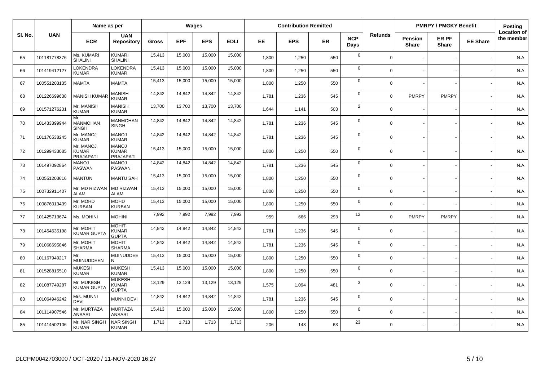|         |              | Name as per                                   |                                               |              |            | Wages      |             |       | <b>Contribution Remitted</b> |           |                    |                |                         | <b>PMRPY / PMGKY Benefit</b> |                 | Posting                          |
|---------|--------------|-----------------------------------------------|-----------------------------------------------|--------------|------------|------------|-------------|-------|------------------------------|-----------|--------------------|----------------|-------------------------|------------------------------|-----------------|----------------------------------|
| SI. No. | <b>UAN</b>   | <b>ECR</b>                                    | <b>UAN</b><br><b>Repository</b>               | <b>Gross</b> | <b>EPF</b> | <b>EPS</b> | <b>EDLI</b> | EE.   | <b>EPS</b>                   | <b>ER</b> | <b>NCP</b><br>Days | <b>Refunds</b> | Pension<br><b>Share</b> | ER PF<br><b>Share</b>        | <b>EE Share</b> | <b>Location of</b><br>the member |
| 65      | 101181778376 | Ms. KUMARI<br><b>SHALINI</b>                  | <b>KUMARI</b><br><b>SHALINI</b>               | 15,413       | 15,000     | 15,000     | 15,000      | 1,800 | 1,250                        | 550       | $\mathbf 0$        | $\mathbf 0$    |                         |                              |                 | N.A.                             |
| 66      | 101419412127 | LOKENDRA<br><b>KUMAR</b>                      | LOKENDRA<br><b>KUMAR</b>                      | 15,413       | 15,000     | 15,000     | 15,000      | 1,800 | 1,250                        | 550       | $\mathbf 0$        | $\Omega$       |                         |                              |                 | N.A.                             |
| 67      | 100551203135 | <b>MAMTA</b>                                  | <b>MAMTA</b>                                  | 15,413       | 15,000     | 15,000     | 15,000      | 1,800 | 1,250                        | 550       | $\mathbf 0$        | $\Omega$       |                         |                              |                 | N.A.                             |
| 68      | 101226699638 | <b>MANISH KUMA</b>                            | <b>MANISH</b><br><b>KUMAR</b>                 | 14,842       | 14,842     | 14,842     | 14,842      | 1,781 | 1,236                        | 545       | $\mathbf 0$        | $\Omega$       | <b>PMRPY</b>            | <b>PMRPY</b>                 |                 | N.A.                             |
| 69      | 101571276231 | Mr. MANISH<br><b>KUMAR</b>                    | <b>MANISH</b><br><b>KUMAR</b>                 | 13,700       | 13,700     | 13,700     | 13,700      | 1,644 | 1,141                        | 503       | 2                  | $\Omega$       |                         |                              |                 | N.A.                             |
| 70      | 101433399944 | Mr.<br><b>MANMOHAN</b><br><b>SINGH</b>        | <b>MANMOHAN</b><br>SINGH                      | 14,842       | 14,842     | 14,842     | 14,842      | 1,781 | 1,236                        | 545       | $\mathbf 0$        | $\mathbf 0$    |                         |                              |                 | N.A.                             |
| 71      | 101176538245 | Mr. MANOJ<br><b>KUMAR</b>                     | <b>MANOJ</b><br><b>KUMAR</b>                  | 14,842       | 14,842     | 14,842     | 14,842      | 1,781 | 1,236                        | 545       | $\mathbf 0$        | $\Omega$       |                         |                              |                 | N.A.                             |
| 72      | 101299433085 | Mr. MANOJ<br><b>KUMAR</b><br><b>PRAJAPATI</b> | <b>MANOJ</b><br><b>KUMAR</b><br>PRAJAPATI     | 15,413       | 15,000     | 15,000     | 15,000      | 1,800 | 1,250                        | 550       | $\mathbf 0$        | $\Omega$       |                         |                              |                 | N.A.                             |
| 73      | 101497092864 | <b>MANOJ</b><br><b>PASWAN</b>                 | <b>MANOJ</b><br><b>PASWAN</b>                 | 14,842       | 14,842     | 14,842     | 14,842      | 1,781 | 1,236                        | 545       | $\mathbf 0$        | $\Omega$       |                         |                              |                 | N.A.                             |
| 74      | 100551203616 | <b>MANTUN</b>                                 | <b>MANTU SAH</b>                              | 15.413       | 15,000     | 15,000     | 15,000      | 1,800 | 1,250                        | 550       | $\mathbf 0$        | $\Omega$       |                         |                              |                 | N.A                              |
| 75      | 100732911407 | Mr. MD RIZWAN<br><b>ALAM</b>                  | <b>MD RIZWAN</b><br><b>ALAM</b>               | 15,413       | 15,000     | 15,000     | 15,000      | 1,800 | 1,250                        | 550       | $\mathbf 0$        | $\Omega$       |                         |                              |                 | N.A.                             |
| 76      | 100876013439 | Mr. MOHD<br><b>KURBAN</b>                     | <b>MOHD</b><br><b>KURBAN</b>                  | 15,413       | 15,000     | 15,000     | 15,000      | 1,800 | 1,250                        | 550       | $\mathbf 0$        | $\Omega$       |                         |                              |                 | N.A.                             |
| 77      | 101425713674 | Ms. MOHINI                                    | <b>MOHINI</b>                                 | 7,992        | 7,992      | 7,992      | 7,992       | 959   | 666                          | 293       | 12                 | $\Omega$       | <b>PMRPY</b>            | <b>PMRPY</b>                 |                 | N.A.                             |
| 78      | 101454635198 | Mr. MOHIT<br><b>KUMAR GUPTA</b>               | <b>MOHIT</b><br><b>KUMAR</b><br><b>GUPTA</b>  | 14,842       | 14,842     | 14,842     | 14,842      | 1,781 | 1,236                        | 545       | $\mathbf 0$        | $\Omega$       |                         |                              |                 | N.A.                             |
| 79      | 101068695846 | Mr. MOHIT<br><b>SHARMA</b>                    | <b>MOHIT</b><br><b>SHARMA</b>                 | 14,842       | 14,842     | 14,842     | 14,842      | 1,781 | 1,236                        | 545       | $\mathbf 0$        | $\Omega$       |                         |                              |                 | N.A                              |
| 80      | 101167949217 | Mr.<br><b>MUINUDDEEN</b>                      | <b>MUINUDDEE</b><br>N                         | 15,413       | 15,000     | 15,000     | 15,000      | 1,800 | 1,250                        | 550       | $\mathbf 0$        | $\Omega$       |                         |                              |                 | N.A.                             |
| 81      | 101528815510 | <b>MUKESH</b><br><b>KUMAR</b>                 | <b>MUKESH</b><br><b>KUMAR</b>                 | 15,413       | 15,000     | 15,000     | 15,000      | 1,800 | 1,250                        | 550       | $\mathsf 0$        | $\Omega$       |                         |                              |                 | N.A.                             |
| 82      | 101087749287 | Mr. MUKESH<br><b>KUMAR GUPTA</b>              | <b>MUKESH</b><br><b>KUMAR</b><br><b>GUPTA</b> | 13,129       | 13,129     | 13,129     | 13,129      | 1,575 | 1,094                        | 481       | 3                  | $\Omega$       |                         |                              |                 | N.A.                             |
| 83      | 101064946242 | Mrs. MUNNI<br><b>DEVI</b>                     | <b>MUNNI DEVI</b>                             | 14,842       | 14,842     | 14,842     | 14,842      | 1,781 | 1,236                        | 545       | $\mathbf 0$        | $\Omega$       |                         |                              |                 | N.A.                             |
| 84      | 101114907546 | Mr. MURTAZA<br><b>ANSARI</b>                  | <b>MURTAZA</b><br><b>ANSARI</b>               | 15,413       | 15,000     | 15,000     | 15,000      | 1,800 | 1,250                        | 550       | $\mathbf 0$        | $\Omega$       |                         |                              |                 | N.A.                             |
| 85      | 101414502106 | Mr. NAR SINGH<br><b>KUMAR</b>                 | <b>NAR SINGH</b><br><b>KUMAR</b>              | 1,713        | 1,713      | 1,713      | 1,713       | 206   | 143                          | 63        | 23                 | $\Omega$       |                         |                              |                 | N.A.                             |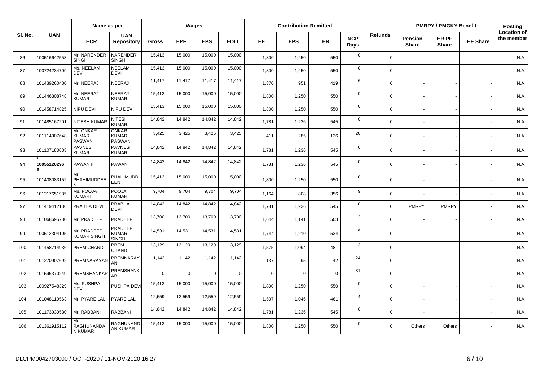|        |                         | Name as per                                |                                                |              |              | Wages          |             |             | <b>Contribution Remitted</b> |             |                    |                |                         | <b>PMRPY / PMGKY Benefit</b> |                 | Posting                          |
|--------|-------------------------|--------------------------------------------|------------------------------------------------|--------------|--------------|----------------|-------------|-------------|------------------------------|-------------|--------------------|----------------|-------------------------|------------------------------|-----------------|----------------------------------|
| SI. No | <b>UAN</b>              | <b>ECR</b>                                 | <b>UAN</b><br><b>Repository</b>                | <b>Gross</b> | <b>EPF</b>   | <b>EPS</b>     | <b>EDLI</b> | EE.         | <b>EPS</b>                   | <b>ER</b>   | <b>NCP</b><br>Days | <b>Refunds</b> | Pension<br><b>Share</b> | ER PF<br><b>Share</b>        | <b>EE Share</b> | <b>Location of</b><br>the member |
| 86     | 100516642553            | Mr. NARENDER<br><b>SINGH</b>               | NARENDER<br><b>SINGH</b>                       | 15,413       | 15,000       | 15,000         | 15,000      | 1,800       | 1,250                        | 550         | $\mathbf 0$        | $\mathbf 0$    |                         |                              |                 | N.A.                             |
| 87     | 100724234709            | Ms. NEELAM<br><b>DEVI</b>                  | <b>NEELAM</b><br><b>DEVI</b>                   | 15,413       | 15,000       | 15,000         | 15,000      | 1,800       | 1,250                        | 550         | $\mathbf 0$        | $\Omega$       |                         |                              |                 | N.A.                             |
| 88     | 101439260480            | Mr. NEERAJ                                 | NEERAJ                                         | 11,417       | 11,417       | 11,417         | 11,417      | 1,370       | 951                          | 419         | 6                  | $\Omega$       |                         |                              |                 | N.A.                             |
| 89     | 101446308748            | Mr. NEERAJ<br><b>KUMAR</b>                 | <b>NEERAJ</b><br><b>KUMAR</b>                  | 15,413       | 15,000       | 15,000         | 15,000      | 1,800       | 1,250                        | 550         | $\mathbf 0$        | $\Omega$       |                         |                              |                 | N.A.                             |
| 90     | 101458714825            | NIPU DEVI                                  | NIPU DEVI                                      | 15,413       | 15,000       | 15,000         | 15,000      | 1,800       | 1,250                        | 550         | $\mathbf 0$        | $\Omega$       |                         |                              |                 | N.A.                             |
| 91     | 101485167201            | <b>NITESH KUMAI</b>                        | <b>NITESH</b><br><b>KUMAR</b>                  | 14,842       | 14,842       | 14,842         | 14,842      | 1,781       | 1,236                        | 545         | $\mathbf 0$        | $\Omega$       |                         |                              |                 | N.A.                             |
| 92     | 101114907648            | Mr. ONKAR<br><b>KUMAR</b><br><b>PASWAN</b> | <b>ONKAR</b><br><b>KUMAR</b><br><b>PASWAN</b>  | 3,425        | 3,425        | 3,425          | 3,425       | 411         | 285                          | 126         | 20                 | $\Omega$       |                         |                              |                 | N.A.                             |
| 93     | 101107180683            | <b>PAVNESH</b><br><b>KUMAR</b>             | <b>PAVNESH</b><br><b>KUMAR</b>                 | 14,842       | 14,842       | 14,842         | 14,842      | 1,781       | 1,236                        | 545         | $\mathbf 0$        | $\Omega$       |                         |                              |                 | N.A.                             |
| 94     | 10055120296<br>$\Omega$ | <b>PAWAN II</b>                            | <b>PAWAN</b>                                   | 14,842       | 14,842       | 14,842         | 14,842      | 1,781       | 1,236                        | 545         | $\mathbf 0$        | $\Omega$       |                         |                              |                 | N.A.                             |
| 95     | 101408083152            | Mr.<br>PHAHIMUDDEE<br>N                    | PHAHIMUDD<br>EEN                               | 15,413       | 15,000       | 15,000         | 15,000      | 1,800       | 1,250                        | 550         | $\mathbf 0$        | $\Omega$       |                         |                              |                 | N.A.                             |
| 96     | 101217651935            | Ms. POOJA<br><b>KUMARI</b>                 | POOJA<br><b>KUMARI</b>                         | 9,704        | 9,704        | 9,704          | 9,704       | 1,164       | 808                          | 356         | 9                  | $\Omega$       |                         |                              |                 | N.A.                             |
| 97     | 101419412136            | PRABHA DEVI                                | PRABHA<br><b>DEVI</b>                          | 14,842       | 14,842       | 14,842         | 14,842      | 1,781       | 1,236                        | 545         | $\mathbf 0$        | $\mathbf 0$    | <b>PMRPY</b>            | <b>PMRPY</b>                 |                 | N.A.                             |
| 98     | 101068695730            | Mr. PRADEEP                                | PRADEEP                                        | 13,700       | 13,700       | 13,700         | 13,700      | 1.644       | 1,141                        | 503         | $\overline{2}$     | $\Omega$       |                         |                              |                 | N.A.                             |
| 99     | 100512304105            | Mr. PRADEEP<br><b>KUMAR SINGH</b>          | <b>PRADEEP</b><br><b>KUMAR</b><br><b>SINGH</b> | 14,531       | 14,531       | 14,531         | 14,531      | 1,744       | 1,210                        | 534         | 5                  | $\Omega$       |                         |                              |                 | N.A.                             |
| 100    | 101458714936            | PREM CHAND                                 | PREM<br>CHAND                                  | 13,129       | 13,129       | 13,129         | 13,129      | 1,575       | 1,094                        | 481         | 3                  | $\Omega$       |                         |                              |                 | N.A.                             |
| 101    | 101270907692            | PREMNARAYA                                 | PREMNARAY<br>AN                                | 1,142        | 1,142        | 1,142          | 1,142       | 137         | 95                           | 42          | 24                 | $\Omega$       |                         |                              |                 | N.A.                             |
| 102    | 101596370249            | PREMSHANKAR                                | <b>PREMSHANK</b><br>AR                         | $\mathbf 0$  | $\mathbf{0}$ | $\overline{0}$ | $\mathbf 0$ | $\mathbf 0$ | 0                            | $\mathbf 0$ | 31                 | $\Omega$       |                         |                              |                 | N.A.                             |
| 103    | 100927548329            | Ms. PUSHPA<br><b>DEVI</b>                  | PUSHPA DEVI                                    | 15,413       | 15,000       | 15,000         | 15,000      | 1,800       | 1,250                        | 550         | $\mathbf 0$        | $\Omega$       |                         |                              |                 | N.A.                             |
| 104    | 101048119563            | Mr. PYARE LAL                              | <b>PYARE LAL</b>                               | 12,559       | 12,559       | 12,559         | 12,559      | 1,507       | 1,046                        | 461         | $\overline{4}$     | $\Omega$       |                         |                              |                 | N.A.                             |
| 105    | 101173939530            | Mr. RABBANI                                | <b>RABBANI</b>                                 | 14,842       | 14,842       | 14,842         | 14,842      | 1,781       | 1,236                        | 545         | $\mathbf 0$        | $\Omega$       |                         |                              |                 | N.A.                             |
| 106    | 101361915112            | Mr.<br>RAGHUNANDA<br>N KUMAR               | RAGHUNAND<br>AN KUMAR                          | 15,413       | 15,000       | 15,000         | 15,000      | 1,800       | 1,250                        | 550         | $\mathbf 0$        | $\Omega$       | Others                  | Others                       |                 | N.A.                             |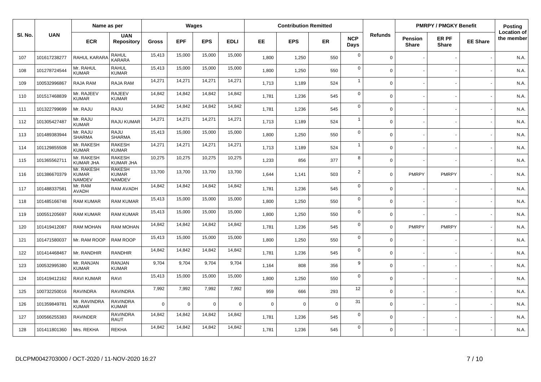|         |              | Name as per                                 |                                                |              |             | Wages          |             |             | <b>Contribution Remitted</b> |             |                    |             |                         | <b>PMRPY / PMGKY Benefit</b> |                 | <b>Posting</b>                   |
|---------|--------------|---------------------------------------------|------------------------------------------------|--------------|-------------|----------------|-------------|-------------|------------------------------|-------------|--------------------|-------------|-------------------------|------------------------------|-----------------|----------------------------------|
| SI. No. | <b>UAN</b>   | <b>ECR</b>                                  | <b>UAN</b><br><b>Repository</b>                | <b>Gross</b> | <b>EPF</b>  | <b>EPS</b>     | <b>EDLI</b> | EE          | <b>EPS</b>                   | ER          | <b>NCP</b><br>Days | Refunds     | Pension<br><b>Share</b> | ER PF<br><b>Share</b>        | <b>EE Share</b> | <b>Location of</b><br>the member |
| 107     | 101617238277 | RAHUL KARARA                                | RAHUL<br>KARARA                                | 15,413       | 15,000      | 15,000         | 15,000      | 1,800       | 1,250                        | 550         | $\mathbf 0$        | $\Omega$    |                         |                              |                 | N.A.                             |
| 108     | 101278724544 | Mr. RAHUL<br><b>KUMAR</b>                   | <b>RAHUL</b><br><b>KUMAR</b>                   | 15,413       | 15,000      | 15,000         | 15,000      | 1,800       | 1,250                        | 550         | $\mathbf 0$        | $\Omega$    |                         |                              |                 | N.A.                             |
| 109     | 100532996867 | RAJA RAM                                    | RAJA RAM                                       | 14,271       | 14,271      | 14,271         | 14,271      | 1,713       | 1,189                        | 524         | $\overline{1}$     | $\Omega$    |                         |                              |                 | N.A.                             |
| 110     | 101517468839 | Mr. RAJEEV<br><b>KUMAR</b>                  | <b>RAJEEV</b><br><b>KUMAR</b>                  | 14,842       | 14,842      | 14,842         | 14,842      | 1,781       | 1,236                        | 545         | $\mathbf 0$        | $\Omega$    |                         |                              |                 | N.A.                             |
| 111     | 101322799699 | Mr. RAJU                                    | RAJU                                           | 14,842       | 14,842      | 14,842         | 14,842      | 1,781       | 1,236                        | 545         | $\mathbf 0$        | $\mathbf 0$ |                         |                              |                 | N.A.                             |
| 112     | 101305427487 | Mr. RAJU<br><b>KUMAR</b>                    | RAJU KUMAR                                     | 14,271       | 14,271      | 14,271         | 14,271      | 1,713       | 1,189                        | 524         | $\overline{1}$     | $\Omega$    |                         |                              |                 | N.A.                             |
| 113     | 101489383944 | Mr. RAJU<br><b>SHARMA</b>                   | RAJU<br><b>SHARMA</b>                          | 15,413       | 15,000      | 15,000         | 15,000      | 1,800       | 1,250                        | 550         | $\mathbf 0$        | $\mathbf 0$ |                         |                              |                 | N.A.                             |
| 114     | 101129855508 | Mr. RAKESH<br><b>KUMAR</b>                  | <b>RAKESH</b><br><b>KUMAR</b>                  | 14,271       | 14,271      | 14,271         | 14,271      | 1,713       | 1,189                        | 524         | $\overline{1}$     | $\mathbf 0$ |                         |                              |                 | N.A.                             |
| 115     | 101365562711 | Mr. RAKESH<br><b>KUMAR JHA</b>              | <b>RAKESH</b><br>KUMAR JHA                     | 10,275       | 10,275      | 10,275         | 10,275      | 1,233       | 856                          | 377         | 8                  | $\mathbf 0$ |                         |                              |                 | N.A.                             |
| 116     | 101386670379 | Mr. RAKESH<br><b>KUMAR</b><br><b>NAMDEV</b> | <b>RAKESH</b><br><b>KUMAR</b><br><b>NAMDEV</b> | 13,700       | 13,700      | 13,700         | 13,700      | 1,644       | 1,141                        | 503         | $\overline{2}$     | $\Omega$    | <b>PMRPY</b>            | <b>PMRPY</b>                 |                 | N.A.                             |
| 117     | 101488337581 | Mr. RAM<br><b>AVADH</b>                     | RAM AVADH                                      | 14,842       | 14,842      | 14,842         | 14,842      | 1,781       | 1,236                        | 545         | $\mathbf 0$        | $\mathbf 0$ |                         |                              |                 | N.A.                             |
| 118     | 101485166748 | <b>RAM KUMAR</b>                            | <b>RAM KUMAR</b>                               | 15,413       | 15,000      | 15,000         | 15,000      | 1,800       | 1,250                        | 550         | $\overline{0}$     | $\mathbf 0$ |                         |                              |                 | N.A.                             |
| 119     | 100551205697 | <b>RAM KUMAR</b>                            | <b>RAM KUMAR</b>                               | 15,413       | 15,000      | 15,000         | 15,000      | 1,800       | 1,250                        | 550         | $\mathbf 0$        | $\Omega$    |                         |                              |                 | N.A.                             |
| 120     | 101419412087 | RAM MOHAN                                   | RAM MOHAN                                      | 14,842       | 14,842      | 14,842         | 14,842      | 1,781       | 1,236                        | 545         | $\mathbf 0$        | $\mathbf 0$ | <b>PMRPY</b>            | <b>PMRPY</b>                 |                 | N.A.                             |
| 121     | 101471580037 | Mr. RAM ROOP                                | RAM ROOP                                       | 15,413       | 15,000      | 15,000         | 15,000      | 1,800       | 1,250                        | 550         | $\mathbf 0$        | $\mathbf 0$ |                         |                              |                 | N.A.                             |
| 122     | 101414468467 | Mr. RANDHIR                                 | RANDHIR                                        | 14,842       | 14,842      | 14,842         | 14,842      | 1,781       | 1,236                        | 545         | $\mathbf 0$        | $\Omega$    |                         |                              |                 | N.A.                             |
| 123     | 100532995380 | Mr. RANJAN<br><b>KUMAR</b>                  | <b>RANJAN</b><br><b>KUMAR</b>                  | 9,704        | 9,704       | 9,704          | 9,704       | 1,164       | 808                          | 356         | 9                  | $\Omega$    |                         |                              |                 | N.A.                             |
| 124     | 101419412162 | RAVI KUMAR                                  | RAVI                                           | 15,413       | 15,000      | 15,000         | 15,000      | 1,800       | 1,250                        | 550         | $\mathbf 0$        | $\Omega$    |                         |                              |                 | N.A.                             |
| 125     | 100732250016 | <b>RAVINDRA</b>                             | <b>RAVINDRA</b>                                | 7,992        | 7,992       | 7,992          | 7,992       | 959         | 666                          | 293         | 12                 | $\Omega$    |                         |                              |                 | N.A.                             |
| 126     | 101359849781 | Mr. RAVINDRA<br><b>KUMAR</b>                | <b>RAVINDRA</b><br>KUMAR                       | $\Omega$     | $\mathbf 0$ | $\overline{0}$ | $\mathbf 0$ | $\mathbf 0$ | 0                            | $\mathbf 0$ | 31                 | $\mathbf 0$ |                         |                              |                 | N.A.                             |
| 127     | 100566255383 | RAVINDER                                    | <b>RAVINDRA</b><br>RAUT                        | 14,842       | 14,842      | 14,842         | 14,842      | 1,781       | 1,236                        | 545         | $\mathbf 0$        | $\Omega$    |                         |                              |                 | N.A.                             |
| 128     | 101411801360 | Mrs. REKHA                                  | REKHA                                          | 14,842       | 14,842      | 14,842         | 14,842      | 1,781       | 1,236                        | 545         | $\mathbf 0$        | $\Omega$    |                         |                              |                 | N.A.                             |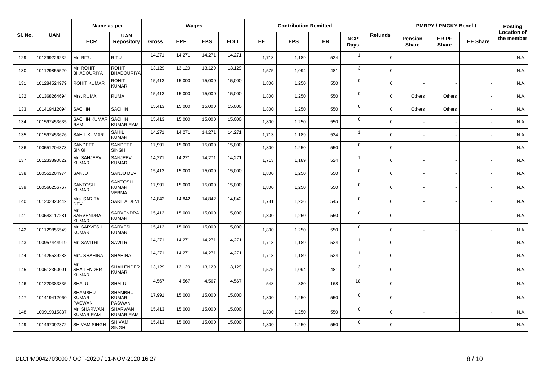|         |              | Name as per                              |                                                 |              |            | <b>Wages</b> |             |       | <b>Contribution Remitted</b> |           |                    |                |                          | <b>PMRPY / PMGKY Benefit</b> |                 | Posting                          |
|---------|--------------|------------------------------------------|-------------------------------------------------|--------------|------------|--------------|-------------|-------|------------------------------|-----------|--------------------|----------------|--------------------------|------------------------------|-----------------|----------------------------------|
| SI. No. | <b>UAN</b>   | <b>ECR</b>                               | <b>UAN</b><br><b>Repository</b>                 | <b>Gross</b> | <b>EPF</b> | <b>EPS</b>   | <b>EDLI</b> | EE.   | <b>EPS</b>                   | <b>ER</b> | <b>NCP</b><br>Days | <b>Refunds</b> | Pension<br><b>Share</b>  | <b>ER PF</b><br><b>Share</b> | <b>EE Share</b> | <b>Location of</b><br>the member |
| 129     | 101299226232 | Mr. RITU                                 | <b>RITU</b>                                     | 14,271       | 14,271     | 14,271       | 14,271      | 1,713 | 1,189                        | 524       | $\overline{1}$     | $\Omega$       |                          |                              |                 | N.A.                             |
| 130     | 101129855520 | Mr. ROHIT<br><b>BHADOURIYA</b>           | <b>ROHIT</b><br><b>BHADOURIYA</b>               | 13,129       | 13,129     | 13,129       | 13,129      | 1,575 | 1,094                        | 481       | 3                  | $\Omega$       |                          |                              |                 | N.A.                             |
| 131     | 101284524979 | <b>ROHIT KUMAR</b>                       | <b>ROHIT</b><br><b>KUMAR</b>                    | 15,413       | 15,000     | 15,000       | 15,000      | 1,800 | 1,250                        | 550       | $\mathbf 0$        | $\Omega$       |                          |                              |                 | N.A.                             |
| 132     | 101368264694 | Mrs. RUMA                                | <b>RUMA</b>                                     | 15,413       | 15,000     | 15,000       | 15,000      | 1,800 | 1,250                        | 550       | $\mathbf 0$        | $\mathbf 0$    | Others                   | Others                       |                 | N.A.                             |
| 133     | 101419412094 | <b>SACHIN</b>                            | <b>SACHIN</b>                                   | 15,413       | 15,000     | 15,000       | 15,000      | 1.800 | 1,250                        | 550       | $\mathbf 0$        | $\mathbf 0$    | Others                   | Others                       |                 | N.A.                             |
| 134     | 101597453635 | SACHIN KUMAR SACHIN<br><b>RAM</b>        | <b>KUMAR RAM</b>                                | 15,413       | 15,000     | 15,000       | 15,000      | 1,800 | 1,250                        | 550       | $\mathbf 0$        | $\Omega$       |                          |                              |                 | N.A.                             |
| 135     | 101597453626 | <b>SAHIL KUMAR</b>                       | SAHIL<br><b>KUMAR</b>                           | 14,271       | 14,271     | 14,271       | 14,271      | 1,713 | 1,189                        | 524       | $\overline{1}$     | $\Omega$       |                          |                              |                 | N.A.                             |
| 136     | 100551204373 | SANDEEP<br><b>SINGH</b>                  | SANDEEP<br><b>SINGH</b>                         | 17,991       | 15,000     | 15,000       | 15,000      | 1,800 | 1,250                        | 550       | $\mathbf 0$        | $\Omega$       |                          |                              |                 | N.A.                             |
| 137     | 101233890822 | Mr. SANJEEV<br><b>KUMAR</b>              | SANJEEV<br><b>KUMAR</b>                         | 14,271       | 14,271     | 14,271       | 14,271      | 1.713 | 1,189                        | 524       | $\overline{1}$     | $\Omega$       | $\overline{\phantom{a}}$ |                              |                 | N.A.                             |
| 138     | 100551204974 | SANJU                                    | <b>SANJU DEVI</b>                               | 15,413       | 15,000     | 15,000       | 15,000      | 1,800 | 1,250                        | 550       | $\pmb{0}$          | $\mathbf 0$    |                          |                              |                 | N.A.                             |
| 139     | 100566256767 | <b>SANTOSH</b><br><b>KUMAR</b>           | <b>SANTOSH</b><br><b>KUMAR</b><br><b>VERMA</b>  | 17,991       | 15,000     | 15,000       | 15,000      | 1.800 | 1,250                        | 550       | $\mathbf 0$        | $\Omega$       |                          |                              |                 | N.A.                             |
| 140     | 101202820442 | Mrs. SARITA<br><b>DEVI</b>               | <b>SARITA DEVI</b>                              | 14,842       | 14,842     | 14,842       | 14,842      | 1,781 | 1,236                        | 545       | $\mathbf 0$        | $\Omega$       |                          |                              |                 | N.A.                             |
| 141     | 100543117281 | Mr.<br>SARVENDRA<br><b>KUMAR</b>         | SARVENDRA<br><b>KUMAR</b>                       | 15,413       | 15,000     | 15,000       | 15,000      | 1,800 | 1,250                        | 550       | $\mathbf 0$        | $\mathbf 0$    |                          |                              |                 | N.A.                             |
| 142     | 101129855549 | Mr. SARVESH<br><b>KUMAR</b>              | SARVESH<br><b>KUMAR</b>                         | 15,413       | 15,000     | 15,000       | 15,000      | 1,800 | 1,250                        | 550       | $\mathbf 0$        | $\Omega$       | $\overline{\phantom{a}}$ |                              |                 | N.A.                             |
| 143     | 100957444919 | Mr. SAVITRI                              | <b>SAVITRI</b>                                  | 14,271       | 14,271     | 14,271       | 14,271      | 1,713 | 1,189                        | 524       | $\overline{1}$     | $\Omega$       |                          |                              |                 | N.A.                             |
| 144     | 101426539288 | Mrs. SHAHINA                             | <b>SHAHINA</b>                                  | 14,271       | 14,271     | 14,271       | 14,271      | 1,713 | 1,189                        | 524       | $\overline{1}$     | $\Omega$       |                          |                              |                 | N.A.                             |
| 145     | 100512360001 | Mr.<br>SHAILENDER<br><b>KUMAR</b>        | <b>SHAILENDER</b><br><b>KUMAR</b>               | 13,129       | 13,129     | 13,129       | 13,129      | 1,575 | 1,094                        | 481       | 3                  | $\Omega$       |                          |                              |                 | N.A.                             |
| 146     | 101220383335 | <b>SHALU</b>                             | <b>SHALU</b>                                    | 4,567        | 4,567      | 4,567        | 4,567       | 548   | 380                          | 168       | 18                 | $\Omega$       |                          |                              |                 | N.A.                             |
| 147     | 101419412060 | <b>SHAMBHU</b><br><b>KUMAR</b><br>PASWAN | <b>SHAMBHU</b><br><b>KUMAR</b><br><b>PASWAN</b> | 17,991       | 15,000     | 15,000       | 15,000      | 1,800 | 1,250                        | 550       | $\mathbf 0$        | $\Omega$       |                          |                              |                 | N.A.                             |
| 148     | 100919015837 | Mr. SHARWAN<br>KUMAR RAM                 | <b>SHARWAN</b><br><b>KUMAR RAM</b>              | 15,413       | 15,000     | 15,000       | 15,000      | 1.800 | 1,250                        | 550       | $\mathbf 0$        | $\Omega$       |                          |                              |                 | N.A                              |
| 149     | 101497092872 | SHIVAM SINGH                             | <b>SHIVAM</b><br><b>SINGH</b>                   | 15,413       | 15,000     | 15,000       | 15,000      | 1,800 | 1,250                        | 550       | $\mathbf 0$        | $\mathbf 0$    |                          |                              |                 | N.A.                             |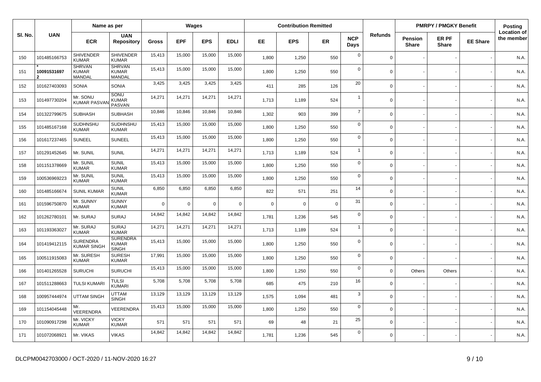|         |                  | Name as per                             |                                                 |              |             | Wages      |             |             | <b>Contribution Remitted</b> |             |                    |                |                         | <b>PMRPY / PMGKY Benefit</b> |                 | Posting                          |
|---------|------------------|-----------------------------------------|-------------------------------------------------|--------------|-------------|------------|-------------|-------------|------------------------------|-------------|--------------------|----------------|-------------------------|------------------------------|-----------------|----------------------------------|
| SI. No. | <b>UAN</b>       | <b>ECR</b>                              | <b>UAN</b><br><b>Repository</b>                 | <b>Gross</b> | <b>EPF</b>  | <b>EPS</b> | <b>EDLI</b> | EE.         | <b>EPS</b>                   | <b>ER</b>   | <b>NCP</b><br>Days | <b>Refunds</b> | Pension<br><b>Share</b> | ER PF<br><b>Share</b>        | <b>EE Share</b> | <b>Location of</b><br>the member |
| 150     | 101485166753     | <b>SHIVENDER</b><br><b>KUMAR</b>        | <b>SHIVENDER</b><br><b>KUMAR</b>                | 15,413       | 15,000      | 15,000     | 15,000      | 1.800       | 1,250                        | 550         | $\mathbf 0$        | $\Omega$       |                         |                              |                 | N.A.                             |
| 151     | 10091531697<br>2 | <b>SHRVAN</b><br><b>KUMAR</b><br>MANDAL | <b>SHRVAN</b><br><b>KUMAR</b><br><b>MANDAL</b>  | 15,413       | 15,000      | 15,000     | 15,000      | 1,800       | 1,250                        | 550         | $\mathbf 0$        | $\Omega$       |                         |                              |                 | N.A.                             |
| 152     | 101627403093     | <b>SONIA</b>                            | <b>SONIA</b>                                    | 3,425        | 3,425       | 3,425      | 3,425       | 411         | 285                          | 126         | 20                 | $\Omega$       |                         |                              |                 | N.A.                             |
| 153     | 101497730204     | Mr. SONU<br><b>KUMAR PASVA</b>          | SONU<br>KUMAR<br><b>PASVAN</b>                  | 14,271       | 14,271      | 14,271     | 14,271      | 1,713       | 1,189                        | 524         | -1                 | $\Omega$       |                         |                              |                 | N.A.                             |
| 154     | 101322799675     | <b>SUBHASH</b>                          | <b>SUBHASH</b>                                  | 10,846       | 10,846      | 10,846     | 10,846      | 1,302       | 903                          | 399         | $\overline{7}$     | $\Omega$       |                         |                              |                 | N.A.                             |
| 155     | 101485167168     | <b>SUDHNSHU</b><br><b>KUMAR</b>         | SUDHNSHU<br><b>KUMAR</b>                        | 15,413       | 15,000      | 15,000     | 15,000      | 1,800       | 1,250                        | 550         | $\mathbf 0$        | $\mathbf 0$    |                         |                              |                 | N.A.                             |
| 156     | 101617237465     | <b>SUNEEL</b>                           | <b>SUNEEL</b>                                   | 15,413       | 15,000      | 15,000     | 15,000      | 1.800       | 1,250                        | 550         | $\mathbf 0$        | $\Omega$       |                         |                              |                 | N.A.                             |
| 157     | 101291452645     | Mr. SUNIL                               | <b>SUNIL</b>                                    | 14,271       | 14,271      | 14,271     | 14,271      | 1,713       | 1,189                        | 524         | $\overline{1}$     | $\Omega$       |                         |                              |                 | N.A.                             |
| 158     | 101151378669     | Mr. SUNIL<br><b>KUMAR</b>               | <b>SUNIL</b><br><b>KUMAR</b>                    | 15,413       | 15,000      | 15,000     | 15,000      | 1,800       | 1,250                        | 550         | $\mathbf 0$        | $\mathbf 0$    |                         |                              |                 | N.A.                             |
| 159     | 100536969223     | Mr. SUNIL<br><b>KUMAR</b>               | <b>SUNIL</b><br><b>KUMAR</b>                    | 15,413       | 15,000      | 15,000     | 15,000      | 1,800       | 1,250                        | 550         | $\mathbf 0$        | $\mathbf 0$    |                         |                              |                 | N.A.                             |
| 160     | 101485166674     | <b>SUNIL KUMAR</b>                      | <b>SUNIL</b><br><b>KUMAR</b>                    | 6,850        | 6,850       | 6,850      | 6,850       | 822         | 571                          | 251         | 14                 | $\Omega$       |                         |                              |                 | N.A.                             |
| 161     | 101596750870     | Mr. SUNNY<br><b>KUMAR</b>               | <b>SUNNY</b><br><b>KUMAR</b>                    | $\mathbf 0$  | $\mathbf 0$ | $\Omega$   | $\mathbf 0$ | $\mathbf 0$ | $\mathbf 0$                  | $\mathbf 0$ | 31                 | $\Omega$       |                         |                              |                 | N.A.                             |
| 162     | 101262780101     | Mr. SURAJ                               | <b>SURAJ</b>                                    | 14,842       | 14,842      | 14,842     | 14,842      | 1,781       | 1,236                        | 545         | $\mathbf 0$        | $\Omega$       |                         |                              |                 | N.A.                             |
| 163     | 101193363027     | Mr. SURAJ<br><b>KUMAR</b>               | <b>SURAJ</b><br><b>KUMAR</b>                    | 14,271       | 14,271      | 14,271     | 14,271      | 1,713       | 1,189                        | 524         | $\overline{1}$     | $\mathbf 0$    |                         |                              |                 | N.A.                             |
| 164     | 101419412115     | <b>SURENDRA</b><br><b>KUMAR SINGH</b>   | <b>SURENDRA</b><br><b>KUMAR</b><br><b>SINGH</b> | 15,413       | 15,000      | 15,000     | 15,000      | 1,800       | 1,250                        | 550         | $\mathbf 0$        | $\Omega$       |                         |                              |                 | N.A.                             |
| 165     | 100511915083     | Mr. SURESH<br><b>KUMAR</b>              | <b>SURESH</b><br><b>KUMAR</b>                   | 17,991       | 15,000      | 15,000     | 15,000      | 1,800       | 1,250                        | 550         | $\mathbf 0$        | $\mathbf 0$    |                         |                              |                 | N.A.                             |
| 166     | 101401265528     | <b>SURUCHI</b>                          | <b>SURUCHI</b>                                  | 15,413       | 15,000      | 15,000     | 15,000      | 1,800       | 1,250                        | 550         | $\mathbf 0$        | $\Omega$       | <b>Others</b>           | Others                       |                 | N.A.                             |
| 167     | 101511288663     | <b>TULSI KUMAR</b>                      | <b>TULSI</b><br><b>KUMARI</b>                   | 5,708        | 5,708       | 5,708      | 5,708       | 685         | 475                          | 210         | 16                 | $\Omega$       |                         |                              |                 | N.A.                             |
| 168     | 100957444974     | <b>UTTAM SINGH</b>                      | <b>UTTAM</b><br><b>SINGH</b>                    | 13,129       | 13,129      | 13,129     | 13,129      | 1,575       | 1,094                        | 481         | 3                  | $\Omega$       |                         |                              |                 | N.A.                             |
| 169     | 101154045448     | Mr.<br>VEERENDRA                        | VEERENDRA                                       | 15,413       | 15,000      | 15,000     | 15,000      | 1,800       | 1,250                        | 550         | $\mathbf 0$        | $\mathbf 0$    |                         |                              |                 | N.A.                             |
| 170     | 101090917298     | Mr. VICKY<br><b>KUMAR</b>               | <b>VICKY</b><br><b>KUMAR</b>                    | 571          | 571         | 571        | 571         | 69          | 48                           | 21          | 25                 | $\Omega$       |                         |                              |                 | N.A.                             |
| 171     | 101072068921     | Mr. VIKAS                               | <b>VIKAS</b>                                    | 14,842       | 14,842      | 14,842     | 14,842      | 1.781       | 1,236                        | 545         | $\mathbf 0$        | $\Omega$       |                         |                              |                 | N.A.                             |